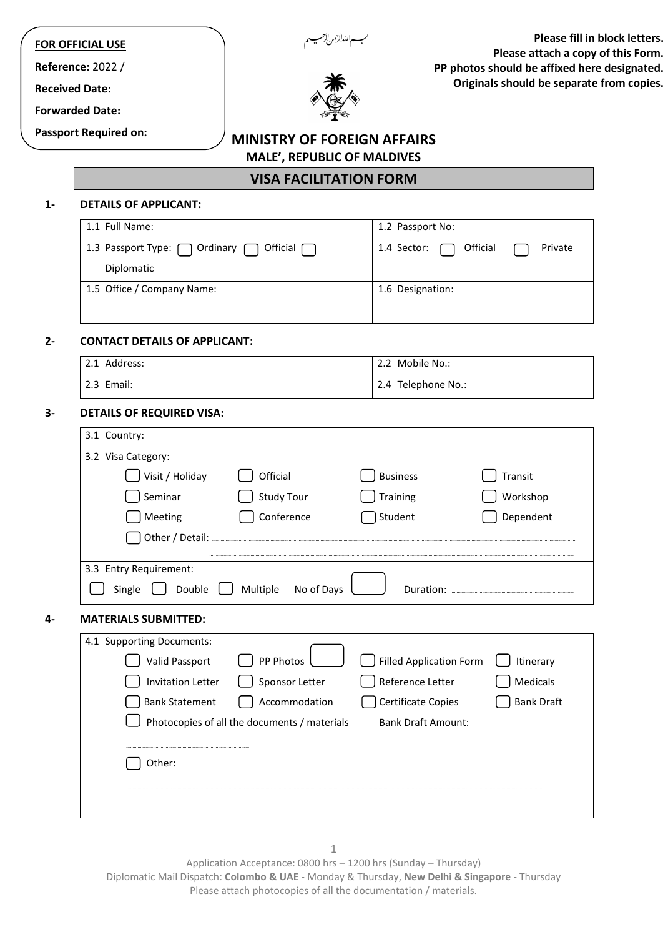# **FOR OFFICIAL USE**

**Reference:** 2022 /

**Received Date:** 

**Forwarded Date:**

**Passport Required on:**



**Please fill in block letters. Please attach a copy of this Form. PP photos should be affixed here designated. Originals should be separate from copies.**

# **MINISTRY OF FOREIGN AFFAIRS MALE', REPUBLIC OF MALDIVES**

**VISA FACILITATION FORM**

#### **1- DETAILS OF APPLICANT:**

| 1.1 Full Name:                                     | 1.2 Passport No:                   |
|----------------------------------------------------|------------------------------------|
| Official $\Box$<br>1.3 Passport Type: 0rdinary 1.3 | Official<br>1.4 Sector:<br>Private |
| Diplomatic                                         |                                    |
| 1.5 Office / Company Name:                         | 1.6 Designation:                   |
|                                                    |                                    |

# **2- CONTACT DETAILS OF APPLICANT:**

| 2.1 Address: | 2.2 Mobile No.:    |
|--------------|--------------------|
| 2.3 Email:   | 2.4 Telephone No.: |

### **3- DETAILS OF REQUIRED VISA:**

| 3.2 Visa Category:          |                                              |                                                                        |                   |
|-----------------------------|----------------------------------------------|------------------------------------------------------------------------|-------------------|
| Visit / Holiday             | Official                                     | <b>Business</b>                                                        | Transit           |
| Seminar                     | <b>Study Tour</b>                            | Training                                                               | Workshop          |
| Meeting                     | Conference                                   | Student                                                                | Dependent         |
|                             |                                              |                                                                        |                   |
| 3.3 Entry Requirement:      |                                              |                                                                        |                   |
| Double<br>Single            | Multiple<br>No of Days                       | Duration: Nation: National Property of the United States and Duration: |                   |
|                             |                                              |                                                                        |                   |
|                             |                                              |                                                                        |                   |
| <b>MATERIALS SUBMITTED:</b> |                                              |                                                                        |                   |
| 4.1 Supporting Documents:   |                                              |                                                                        |                   |
| <b>Valid Passport</b>       | PP Photos                                    | <b>Filled Application Form</b>                                         | Itinerary         |
| <b>Invitation Letter</b>    | Sponsor Letter                               | Reference Letter                                                       | <b>Medicals</b>   |
| <b>Bank Statement</b>       | Accommodation                                | Certificate Copies                                                     |                   |
|                             | Photocopies of all the documents / materials | <b>Bank Draft Amount:</b>                                              | <b>Bank Draft</b> |
|                             |                                              |                                                                        |                   |
| Other:                      |                                              |                                                                        |                   |